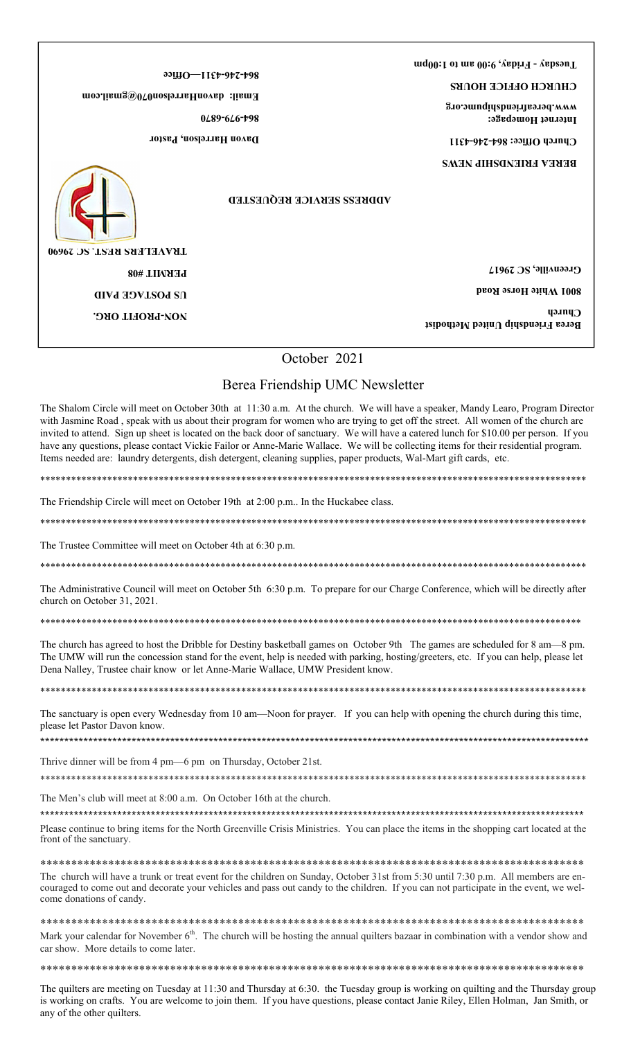|                                                                                                                    | Tuesday - Friday, 9:00 am to 1:00pm |                                                                                                             |  |
|--------------------------------------------------------------------------------------------------------------------|-------------------------------------|-------------------------------------------------------------------------------------------------------------|--|
| $99$ $11$ $F$ $9$ $7$ $7$ $9$ $8$<br>Email: davonHarrelson070@gmail.com<br>0289-626-798<br>Davon Harrelson, Pastor |                                     | СНПКСН ОБЫСЕ НОПКЗ<br>www.bereafriendshipumc.org<br>Internet Homepage:<br>U<br><b>BEKEY EKIENDEHIL NEMS</b> |  |
| <b>LIFVAETEK2 KE2L' 2C 30000</b>                                                                                   | <b>ADDRESS SERVICE REQUESTED</b>    |                                                                                                             |  |
| PERMIT #08                                                                                                         |                                     | Greenville, SC 29617                                                                                        |  |
| <b>COSTAGE PAID</b>                                                                                                |                                     | <b>S001 White Horse Road</b>                                                                                |  |
| NON-PROFIT ORG.                                                                                                    |                                     | <b><i><u>Unrch</u></i></b><br>Berea Friendship United Methodist                                             |  |
|                                                                                                                    | October 2021                        |                                                                                                             |  |
|                                                                                                                    | Berea Friendship UMC Newsletter     |                                                                                                             |  |

The Shalom Circle will meet on October 30th at 11:30 a.m. At the church. We will have a speaker, Mandy Learo, Program Director with Jasmine Road, speak with us about their program for women who are trying to get off the street. All women of the church are invited to attend. Sign up sheet is located on the back door of sanctuary. We will have a catered lunch for \$10.00 per person. If you have any questions, please contact Vickie Failor or Anne-Marie Wallace. We will be collecting items for their residential program. Items needed are: laundry detergents, dish detergent, cleaning supplies, paper products, Wal-Mart gift cards, etc.

The Friendship Circle will meet on October 19th at 2:00 p.m.. In the Huckabee class.

The Trustee Committee will meet on October 4th at 6:30 p.m.

The Administrative Council will meet on October 5th 6:30 p.m. To prepare for our Charge Conference, which will be directly after church on October 31, 2021.

The church has agreed to host the Dribble for Destiny basketball games on October 9th The games are scheduled for 8 am-8 pm. The UMW will run the concession stand for the event, help is needed with parking, hosting/greeters, etc. If you can help, please let Dena Nalley, Trustee chair know or let Anne-Marie Wallace, UMW President know.

The sanctuary is open every Wednesday from 10 am—Noon for prayer. If you can help with opening the church during this time, please let Pastor Davon know.

Thrive dinner will be from 4 pm—6 pm on Thursday, October 21st.

The Men's club will meet at 8:00 a.m. On October 16th at the church.

Please continue to bring items for the North Greenville Crisis Ministries. You can place the items in the shopping cart located at the front of the sanctuary.

The church will have a trunk or treat event for the children on Sunday, October 31st from 5:30 until 7:30 p.m. All members are encouraged to come out and decorate your vehicles and pass out candy to the children. If you can not participate in the event, we welcome donations of candy.

Mark your calendar for November  $6<sup>th</sup>$ . The church will be hosting the annual quilters bazaar in combination with a vendor show and car show. More details to come later.

The quilters are meeting on Tuesday at 11:30 and Thursday at 6:30. the Tuesday group is working on quilting and the Thursday group is working on crafts. You are welcome to join them. If you have questions, please contact Janie Riley, Ellen Holman, Jan Smith, or any of the other quilters.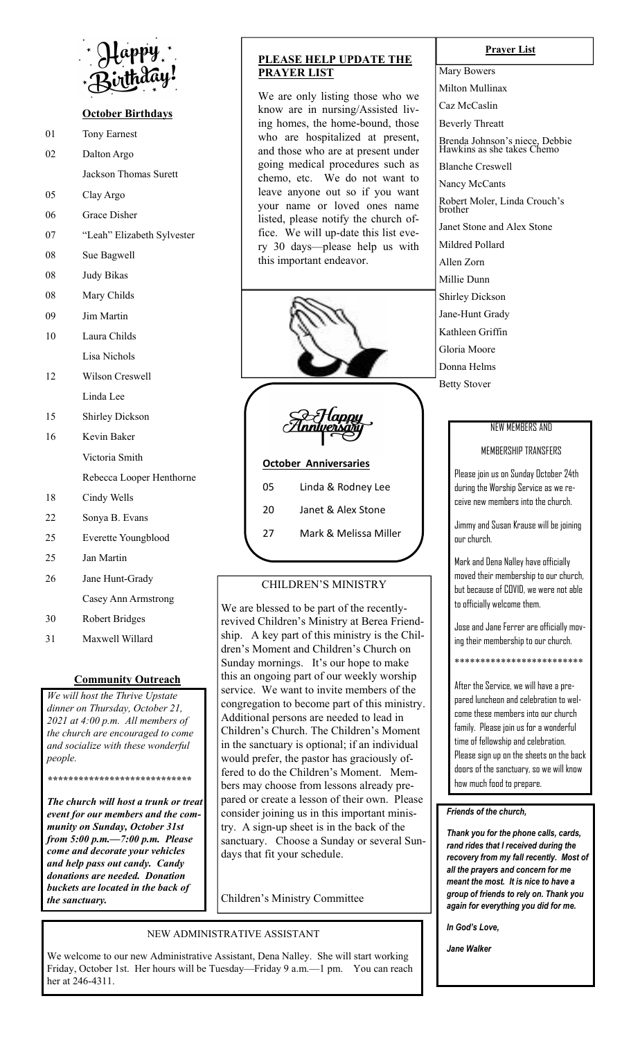

# **October Birthdays**

- 01 Tony Earnest
- 02 Dalton Argo
	- Jackson Thomas Surett
- 05 Clay Argo
- 06 Grace Disher
- 07 "Leah" Elizabeth Sylvester
- 08 Sue Bagwell
- 08 Judy Bikas
- 08 Mary Childs
- 09 Jim Martin
- 10 Laura Childs Lisa Nichols
- 12 Wilson Creswell Linda Lee
- 15 Shirley Dickson
- 16 Kevin Baker Victoria Smith
	- Rebecca Looper Henthorne
- 18 Cindy Wells
- 22 Sonya B. Evans
- 25 Everette Youngblood
- 25 Jan Martin
- 26 Jane Hunt-Grady
	- Casey Ann Armstrong
- 30 Robert Bridges
- 31 Maxwell Willard

#### **Community Outreach**

*We will host the Thrive Upstate dinner on Thursday, October 21, 2021 at 4:00 p.m. All members of the church are encouraged to come and socialize with these wonderful people.* 

*\*\*\*\*\*\*\*\*\*\*\*\*\*\*\*\*\*\*\*\*\*\*\*\*\*\*\*\** 

*The church will host a trunk or treat event for our members and the community on Sunday, October 31st from 5:00 p.m.—7:00 p.m. Please come and decorate your vehicles and help pass out candy. Candy donations are needed. Donation buckets are located in the back of the sanctuary.* 

# **PLEASE HELP UPDATE THE PRAYER LIST**

We are only listing those who we know are in nursing/Assisted living homes, the home-bound, those who are hospitalized at present, and those who are at present under going medical procedures such as chemo, etc. We do not want to leave anyone out so if you want your name or loved ones name listed, please notify the church office. We will up-date this list every 30 days—please help us with this important endeavor.



Han

# **October Anniversaries**

05 Linda & Rodney Lee 20 Janet & Alex Stone 27 Mark & Melissa Miller

# CHILDREN'S MINISTRY

We are blessed to be part of the recentlyrevived Children's Ministry at Berea Friendship. A key part of this ministry is the Children's Moment and Children's Church on Sunday mornings. It's our hope to make this an ongoing part of our weekly worship service. We want to invite members of the congregation to become part of this ministry. Additional persons are needed to lead in Children's Church. The Children's Moment in the sanctuary is optional; if an individual would prefer, the pastor has graciously offered to do the Children's Moment. Members may choose from lessons already prepared or create a lesson of their own. Please consider joining us in this important ministry. A sign-up sheet is in the back of the sanctuary. Choose a Sunday or several Sundays that fit your schedule.

Children's Ministry Committee

#### NEW ADMINISTRATIVE ASSISTANT

We welcome to our new Administrative Assistant, Dena Nalley. She will start working Friday, October 1st. Her hours will be Tuesday—Friday 9 a.m.—1 pm. You can reach her at 246-4311.

#### **Prayer List**

Mary Bowers Milton Mullinax Caz McCaslin Beverly Threatt Brenda Johnson's niece, Debbie Hawkins as she takes Chemo Blanche Creswell Nancy McCants Robert Moler, Linda Crouch's brother Janet Stone and Alex Stone Mildred Pollard Allen Zorn Millie Dunn Shirley Dickson Jane-Hunt Grady Kathleen Griffin Gloria Moore Donna Helms Betty Stover

### NEW MEMBERS AND

# MEMBERSHIP TRANSFERS

Please join us on Sunday October 24th during the Worship Service as we receive new members into the church.

Jimmy and Susan Krause will be joining our church.

Mark and Dena Nalley have officially moved their membership to our church, but because of COVID, we were not able to officially welcome them.

Jose and Jane Ferrer are officially moving their membership to our church.

\*\*\*\*\*\*\*\*\*\*\*\*\*\*\*\*\*\*\*\*\*\*\*\*\*

After the Service, we will have a prepared luncheon and celebration to welcome these members into our church family. Please join us for a wonderful time of fellowship and celebration. Please sign up on the sheets on the back doors of the sanctuary, so we will know how much food to prepare.

#### *Friends of the church,*

*Thank you for the phone calls, cards, rand rides that I received during the recovery from my fall recently. Most of all the prayers and concern for me meant the most. It is nice to have a group of friends to rely on. Thank you again for everything you did for me.* 

*In God's Love,* 

*Jane Walker*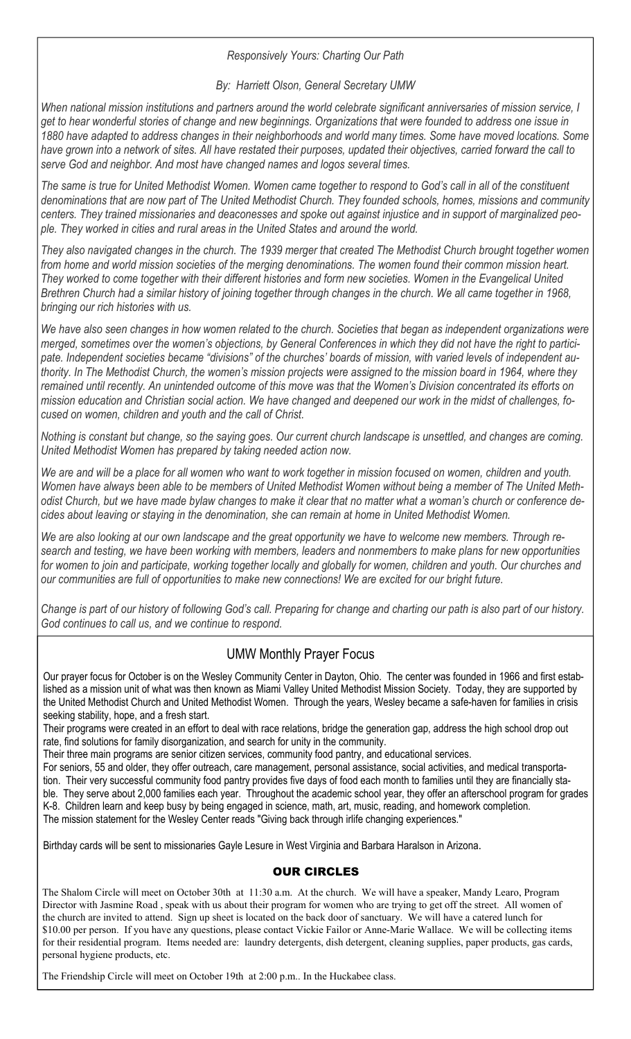# *Responsively Yours: Charting Our Path*

# *By: Harriett Olson, General Secretary UMW*

*When national mission institutions and partners around the world celebrate significant anniversaries of mission service, I get to hear wonderful stories of change and new beginnings. Organizations that were founded to address one issue in 1880 have adapted to address changes in their neighborhoods and world many times. Some have moved locations. Some have grown into a network of sites. All have restated their purposes, updated their objectives, carried forward the call to serve God and neighbor. And most have changed names and logos several times.* 

*The same is true for United Methodist Women. Women came together to respond to God's call in all of the constituent denominations that are now part of The United Methodist Church. They founded schools, homes, missions and community centers. They trained missionaries and deaconesses and spoke out against injustice and in support of marginalized people. They worked in cities and rural areas in the United States and around the world.* 

*They also navigated changes in the church. The 1939 merger that created The Methodist Church brought together women from home and world mission societies of the merging denominations. The women found their common mission heart. They worked to come together with their different histories and form new societies. Women in the Evangelical United*  Brethren Church had a similar history of joining together through changes in the church. We all came together in 1968, *bringing our rich histories with us.* 

*We have also seen changes in how women related to the church. Societies that began as independent organizations were merged, sometimes over the women's objections, by General Conferences in which they did not have the right to participate. Independent societies became "divisions" of the churches' boards of mission, with varied levels of independent authority. In The Methodist Church, the women's mission projects were assigned to the mission board in 1964, where they remained until recently. An unintended outcome of this move was that the Women's Division concentrated its efforts on mission education and Christian social action. We have changed and deepened our work in the midst of challenges, focused on women, children and youth and the call of Christ.* 

*Nothing is constant but change, so the saying goes. Our current church landscape is unsettled, and changes are coming. United Methodist Women has prepared by taking needed action now.* 

We are and will be a place for all women who want to work together in mission focused on women, children and youth. *Women have always been able to be members of United Methodist Women without being a member of The United Methodist Church, but we have made bylaw changes to make it clear that no matter what a woman's church or conference decides about leaving or staying in the denomination, she can remain at home in United Methodist Women.* 

*We are also looking at our own landscape and the great opportunity we have to welcome new members. Through research and testing, we have been working with members, leaders and nonmembers to make plans for new opportunities*  for women to join and participate, working together locally and globally for women, children and youth. Our churches and *our communities are full of opportunities to make new connections! We are excited for our bright future.* 

*Change is part of our history of following God's call. Preparing for change and charting our path is also part of our history. God continues to call us, and we continue to respond.* 

# UMW Monthly Prayer Focus

Our prayer focus for October is on the Wesley Community Center in Dayton, Ohio. The center was founded in 1966 and first established as a mission unit of what was then known as Miami Valley United Methodist Mission Society. Today, they are supported by the United Methodist Church and United Methodist Women. Through the years, Wesley became a safe-haven for families in crisis seeking stability, hope, and a fresh start.

Their programs were created in an effort to deal with race relations, bridge the generation gap, address the high school drop out rate, find solutions for family disorganization, and search for unity in the community.

Their three main programs are senior citizen services, community food pantry, and educational services.

For seniors, 55 and older, they offer outreach, care management, personal assistance, social activities, and medical transportation. Their very successful community food pantry provides five days of food each month to families until they are financially stable. They serve about 2,000 families each year. Throughout the academic school year, they offer an afterschool program for grades K-8. Children learn and keep busy by being engaged in science, math, art, music, reading, and homework completion. The mission statement for the Wesley Center reads "Giving back through irlife changing experiences."

Birthday cards will be sent to missionaries Gayle Lesure in West Virginia and Barbara Haralson in Arizona.

# OUR CIRCLES

The Shalom Circle will meet on October 30th at 11:30 a.m. At the church. We will have a speaker, Mandy Learo, Program Director with Jasmine Road , speak with us about their program for women who are trying to get off the street. All women of the church are invited to attend. Sign up sheet is located on the back door of sanctuary. We will have a catered lunch for \$10.00 per person. If you have any questions, please contact Vickie Failor or Anne-Marie Wallace. We will be collecting items for their residential program. Items needed are: laundry detergents, dish detergent, cleaning supplies, paper products, gas cards, personal hygiene products, etc.

The Friendship Circle will meet on October 19th at 2:00 p.m.. In the Huckabee class.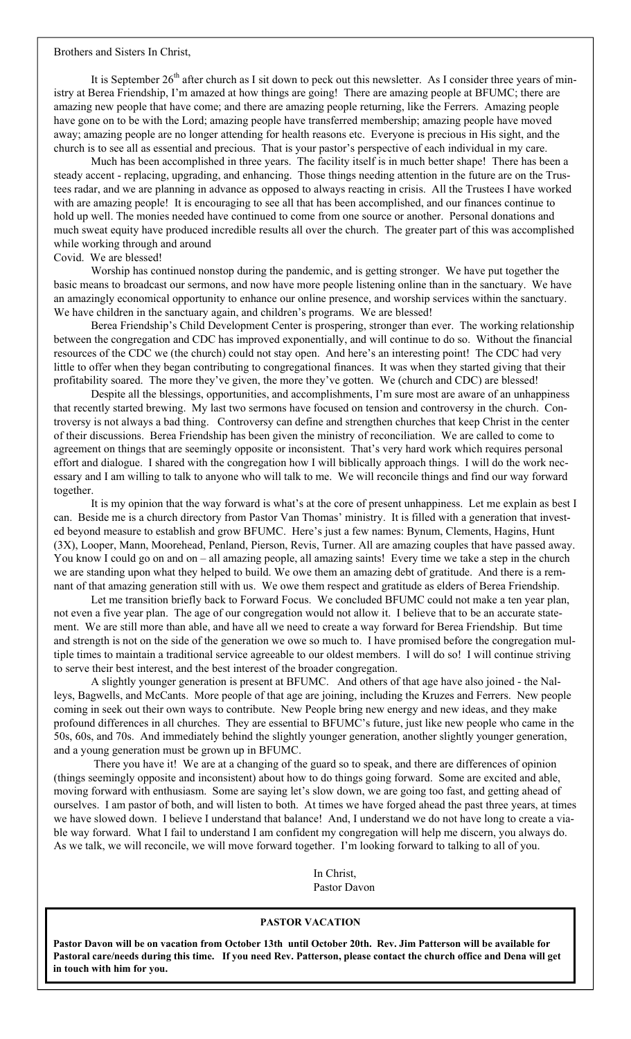#### Brothers and Sisters In Christ,

It is September  $26<sup>th</sup>$  after church as I sit down to peck out this newsletter. As I consider three years of ministry at Berea Friendship, I'm amazed at how things are going! There are amazing people at BFUMC; there are amazing new people that have come; and there are amazing people returning, like the Ferrers. Amazing people have gone on to be with the Lord; amazing people have transferred membership; amazing people have moved away; amazing people are no longer attending for health reasons etc. Everyone is precious in His sight, and the church is to see all as essential and precious. That is your pastor's perspective of each individual in my care.

 Much has been accomplished in three years. The facility itself is in much better shape! There has been a steady accent - replacing, upgrading, and enhancing. Those things needing attention in the future are on the Trustees radar, and we are planning in advance as opposed to always reacting in crisis. All the Trustees I have worked with are amazing people! It is encouraging to see all that has been accomplished, and our finances continue to hold up well. The monies needed have continued to come from one source or another. Personal donations and much sweat equity have produced incredible results all over the church. The greater part of this was accomplished while working through and around

#### Covid. We are blessed!

 Worship has continued nonstop during the pandemic, and is getting stronger. We have put together the basic means to broadcast our sermons, and now have more people listening online than in the sanctuary. We have an amazingly economical opportunity to enhance our online presence, and worship services within the sanctuary. We have children in the sanctuary again, and children's programs. We are blessed!

 Berea Friendship's Child Development Center is prospering, stronger than ever. The working relationship between the congregation and CDC has improved exponentially, and will continue to do so. Without the financial resources of the CDC we (the church) could not stay open. And here's an interesting point! The CDC had very little to offer when they began contributing to congregational finances. It was when they started giving that their profitability soared. The more they've given, the more they've gotten. We (church and CDC) are blessed!

 Despite all the blessings, opportunities, and accomplishments, I'm sure most are aware of an unhappiness that recently started brewing. My last two sermons have focused on tension and controversy in the church. Controversy is not always a bad thing. Controversy can define and strengthen churches that keep Christ in the center of their discussions. Berea Friendship has been given the ministry of reconciliation. We are called to come to agreement on things that are seemingly opposite or inconsistent. That's very hard work which requires personal effort and dialogue. I shared with the congregation how I will biblically approach things. I will do the work necessary and I am willing to talk to anyone who will talk to me. We will reconcile things and find our way forward together.

 It is my opinion that the way forward is what's at the core of present unhappiness. Let me explain as best I can. Beside me is a church directory from Pastor Van Thomas' ministry. It is filled with a generation that invested beyond measure to establish and grow BFUMC. Here's just a few names: Bynum, Clements, Hagins, Hunt (3X), Looper, Mann, Moorehead, Penland, Pierson, Revis, Turner. All are amazing couples that have passed away. You know I could go on and on – all amazing people, all amazing saints! Every time we take a step in the church we are standing upon what they helped to build. We owe them an amazing debt of gratitude. And there is a remnant of that amazing generation still with us. We owe them respect and gratitude as elders of Berea Friendship.

 Let me transition briefly back to Forward Focus. We concluded BFUMC could not make a ten year plan, not even a five year plan. The age of our congregation would not allow it. I believe that to be an accurate statement. We are still more than able, and have all we need to create a way forward for Berea Friendship. But time and strength is not on the side of the generation we owe so much to. I have promised before the congregation multiple times to maintain a traditional service agreeable to our oldest members. I will do so! I will continue striving to serve their best interest, and the best interest of the broader congregation.

 A slightly younger generation is present at BFUMC. And others of that age have also joined - the Nalleys, Bagwells, and McCants. More people of that age are joining, including the Kruzes and Ferrers. New people coming in seek out their own ways to contribute. New People bring new energy and new ideas, and they make profound differences in all churches. They are essential to BFUMC's future, just like new people who came in the 50s, 60s, and 70s. And immediately behind the slightly younger generation, another slightly younger generation, and a young generation must be grown up in BFUMC.

 There you have it! We are at a changing of the guard so to speak, and there are differences of opinion (things seemingly opposite and inconsistent) about how to do things going forward. Some are excited and able, moving forward with enthusiasm. Some are saying let's slow down, we are going too fast, and getting ahead of ourselves. I am pastor of both, and will listen to both. At times we have forged ahead the past three years, at times we have slowed down. I believe I understand that balance! And, I understand we do not have long to create a viable way forward. What I fail to understand I am confident my congregation will help me discern, you always do. As we talk, we will reconcile, we will move forward together. I'm looking forward to talking to all of you.

> In Christ, Pastor Davon

#### **PASTOR VACATION**

**Pastor Davon will be on vacation from October 13th until October 20th. Rev. Jim Patterson will be available for Pastoral care/needs during this time. If you need Rev. Patterson, please contact the church office and Dena will get in touch with him for you.**